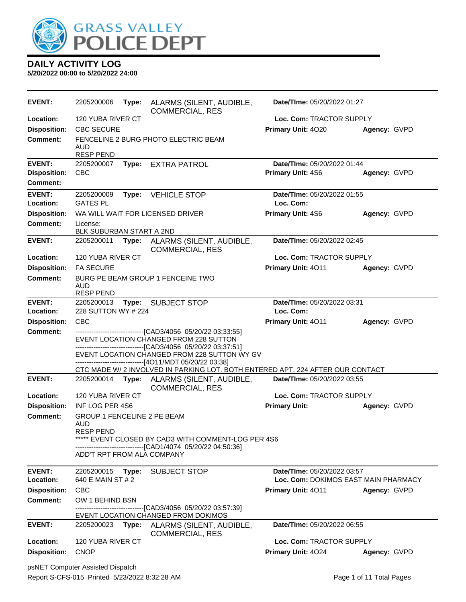

| <b>EVENT:</b>       | 2205200006                                                                           | Type: | ALARMS (SILENT, AUDIBLE,<br><b>COMMERCIAL, RES</b>                                                                                                                                                                                                                    | Date/TIme: 05/20/2022 01:27          |              |  |
|---------------------|--------------------------------------------------------------------------------------|-------|-----------------------------------------------------------------------------------------------------------------------------------------------------------------------------------------------------------------------------------------------------------------------|--------------------------------------|--------------|--|
| Location:           | 120 YUBA RIVER CT                                                                    |       |                                                                                                                                                                                                                                                                       | Loc. Com: TRACTOR SUPPLY             |              |  |
| <b>Disposition:</b> | <b>CBC SECURE</b>                                                                    |       |                                                                                                                                                                                                                                                                       | Primary Unit: 4020                   | Agency: GVPD |  |
| <b>Comment:</b>     | AUD<br><b>RESP PEND</b>                                                              |       | FENCELINE 2 BURG PHOTO ELECTRIC BEAM                                                                                                                                                                                                                                  |                                      |              |  |
| <b>EVENT:</b>       | 2205200007                                                                           | Type: | <b>EXTRA PATROL</b>                                                                                                                                                                                                                                                   | Date/TIme: 05/20/2022 01:44          |              |  |
| <b>Disposition:</b> | <b>CBC</b>                                                                           |       |                                                                                                                                                                                                                                                                       | Primary Unit: 4S6                    | Agency: GVPD |  |
| <b>Comment:</b>     |                                                                                      |       |                                                                                                                                                                                                                                                                       |                                      |              |  |
| <b>EVENT:</b>       | 2205200009                                                                           | Type: | <b>VEHICLE STOP</b>                                                                                                                                                                                                                                                   | Date/TIme: 05/20/2022 01:55          |              |  |
| Location:           | <b>GATES PL</b>                                                                      |       |                                                                                                                                                                                                                                                                       | Loc. Com:                            |              |  |
| <b>Disposition:</b> |                                                                                      |       | WA WILL WAIT FOR LICENSED DRIVER                                                                                                                                                                                                                                      | Primary Unit: 4S6                    | Agency: GVPD |  |
| <b>Comment:</b>     | License:<br>BLK SUBURBAN START A 2ND                                                 |       |                                                                                                                                                                                                                                                                       |                                      |              |  |
| <b>EVENT:</b>       | 2205200011                                                                           | Type: | ALARMS (SILENT, AUDIBLE,<br><b>COMMERCIAL, RES</b>                                                                                                                                                                                                                    | Date/TIme: 05/20/2022 02:45          |              |  |
| Location:           | 120 YUBA RIVER CT                                                                    |       |                                                                                                                                                                                                                                                                       | Loc. Com: TRACTOR SUPPLY             |              |  |
| <b>Disposition:</b> | <b>FA SECURE</b>                                                                     |       |                                                                                                                                                                                                                                                                       | Primary Unit: 4011                   | Agency: GVPD |  |
| <b>Comment:</b>     | <b>AUD</b><br><b>RESP PEND</b>                                                       |       | BURG PE BEAM GROUP 1 FENCEINE TWO                                                                                                                                                                                                                                     |                                      |              |  |
| <b>EVENT:</b>       | 2205200013                                                                           |       | Type: SUBJECT STOP                                                                                                                                                                                                                                                    | Date/TIme: 05/20/2022 03:31          |              |  |
| Location:           | 228 SUTTON WY # 224                                                                  |       |                                                                                                                                                                                                                                                                       | Loc. Com:                            |              |  |
| <b>Disposition:</b> | <b>CBC</b>                                                                           |       |                                                                                                                                                                                                                                                                       | Primary Unit: 4011                   | Agency: GVPD |  |
| Comment:            |                                                                                      |       | --------------------------------[CAD3/4056 05/20/22 03:33:55]<br>EVENT LOCATION CHANGED FROM 228 SUTTON<br>------------------------------[CAD3/4056 05/20/22 03:37:51]<br>EVENT LOCATION CHANGED FROM 228 SUTTON WY GV<br>------------------[4O11/MDT 05/20/22 03:38] |                                      |              |  |
| <b>EVENT:</b>       | 2205200014                                                                           | Type: | CTC MADE W/ 2 INVOLVED IN PARKING LOT. BOTH ENTERED APT. 224 AFTER OUR CONTACT<br>ALARMS (SILENT, AUDIBLE,                                                                                                                                                            | Date/TIme: 05/20/2022 03:55          |              |  |
|                     |                                                                                      |       | <b>COMMERCIAL, RES</b>                                                                                                                                                                                                                                                |                                      |              |  |
| Location:           | 120 YUBA RIVER CT                                                                    |       |                                                                                                                                                                                                                                                                       | Loc. Com: TRACTOR SUPPLY             |              |  |
| <b>Disposition:</b> | INF LOG PER 4S6                                                                      |       |                                                                                                                                                                                                                                                                       | <b>Primary Unit:</b>                 | Agency: GVPD |  |
| <b>Comment:</b>     | GROUP 1 FENCELINE 2 PE BEAM<br>AUD<br><b>RESP PEND</b><br>ADD'T RPT FROM ALA COMPANY |       | ***** EVENT CLOSED BY CAD3 WITH COMMENT-LOG PER 4S6<br>-------------------------------[CAD1/4074 05/20/22 04:50:36]                                                                                                                                                   |                                      |              |  |
| <b>EVENT:</b>       | 2205200015                                                                           | Type: | <b>SUBJECT STOP</b>                                                                                                                                                                                                                                                   | Date/TIme: 05/20/2022 03:57          |              |  |
| Location:           | 640 E MAIN ST # 2                                                                    |       |                                                                                                                                                                                                                                                                       | Loc. Com: DOKIMOS EAST MAIN PHARMACY |              |  |
| <b>Disposition:</b> | <b>CBC</b>                                                                           |       |                                                                                                                                                                                                                                                                       | <b>Primary Unit: 4011</b>            | Agency: GVPD |  |
| <b>Comment:</b>     | OW 1 BEHIND BSN                                                                      |       |                                                                                                                                                                                                                                                                       |                                      |              |  |
|                     |                                                                                      |       | --------------------------------[CAD3/4056 05/20/22 03:57:39]<br>EVENT LOCATION CHANGED FROM DOKIMOS                                                                                                                                                                  |                                      |              |  |
| <b>EVENT:</b>       | 2205200023                                                                           | Type: | ALARMS (SILENT, AUDIBLE,<br><b>COMMERCIAL, RES</b>                                                                                                                                                                                                                    | Date/TIme: 05/20/2022 06:55          |              |  |
| Location:           | 120 YUBA RIVER CT                                                                    |       |                                                                                                                                                                                                                                                                       | Loc. Com: TRACTOR SUPPLY             |              |  |
| <b>Disposition:</b> | <b>CNOP</b>                                                                          |       |                                                                                                                                                                                                                                                                       | Primary Unit: 4024                   | Agency: GVPD |  |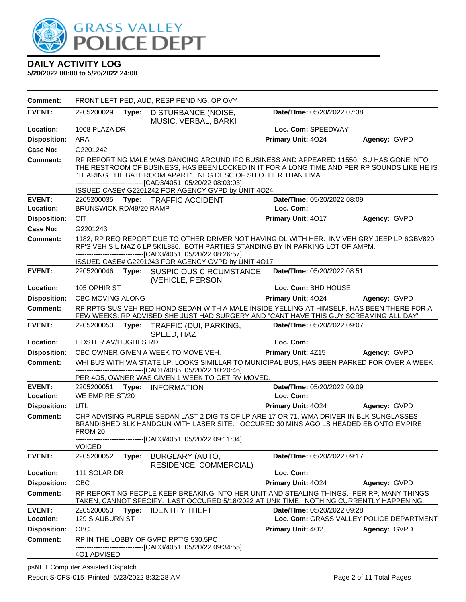

| <b>Comment:</b>            |                         |       | FRONT LEFT PED, AUD, RESP PENDING, OP OVY                                                                                                                                                                                                                                                                               |                                          |                                          |
|----------------------------|-------------------------|-------|-------------------------------------------------------------------------------------------------------------------------------------------------------------------------------------------------------------------------------------------------------------------------------------------------------------------------|------------------------------------------|------------------------------------------|
| <b>EVENT:</b>              | 2205200029              | Type: | DISTURBANCE (NOISE,<br>MUSIC, VERBAL, BARKI                                                                                                                                                                                                                                                                             | Date/TIme: 05/20/2022 07:38              |                                          |
| Location:                  | 1008 PLAZA DR           |       |                                                                                                                                                                                                                                                                                                                         | Loc. Com: SPEEDWAY                       |                                          |
| <b>Disposition:</b>        | ARA                     |       |                                                                                                                                                                                                                                                                                                                         | Primary Unit: 4024                       | Agency: GVPD                             |
| Case No:                   | G2201242                |       |                                                                                                                                                                                                                                                                                                                         |                                          |                                          |
| <b>Comment:</b>            |                         |       | RP REPORTING MALE WAS DANCING AROUND IFO BUSINESS AND APPEARED 11550. SU HAS GONE INTO<br>THE RESTROOM OF BUSINESS, HAS BEEN LOCKED IN IT FOR A LONG TIME AND PER RP SOUNDS LIKE HE IS<br>"TEARING THE BATHROOM APART". NEG DESC OF SU OTHER THAN HMA.<br>--------------------------------[CAD3/4051 05/20/22 08:03:03] |                                          |                                          |
|                            |                         |       | ISSUED CASE# G2201242 FOR AGENCY GVPD by UNIT 4O24                                                                                                                                                                                                                                                                      |                                          |                                          |
| <b>EVENT:</b><br>Location: | BRUNSWICK RD/49/20 RAMP |       | 2205200035 Type: TRAFFIC ACCIDENT                                                                                                                                                                                                                                                                                       | Date/TIme: 05/20/2022 08:09<br>Loc. Com: |                                          |
| <b>Disposition:</b>        | <b>CIT</b>              |       |                                                                                                                                                                                                                                                                                                                         | Primary Unit: 4017                       | Agency: GVPD                             |
| Case No:                   | G2201243                |       |                                                                                                                                                                                                                                                                                                                         |                                          |                                          |
| Comment:                   |                         |       | 1182, RP REQ REPORT DUE TO OTHER DRIVER NOT HAVING DL WITH HER. INV VEH GRY JEEP LP 6GBV820,<br>RP'S VEH SIL MAZ 6 LP 5KIL886. BOTH PARTIES STANDING BY IN PARKING LOT OF AMPM.<br>-------------------------------[CAD3/4051 05/20/22 08:26:57]<br>ISSUED CASE# G2201243 FOR AGENCY GVPD by UNIT 4O17                   |                                          |                                          |
| <b>EVENT:</b>              |                         |       | 2205200046 Type: SUSPICIOUS CIRCUMSTANCE<br>(VEHICLE, PERSON                                                                                                                                                                                                                                                            | Date/TIme: 05/20/2022 08:51              |                                          |
| Location:                  | 105 OPHIR ST            |       |                                                                                                                                                                                                                                                                                                                         | Loc. Com: BHD HOUSE                      |                                          |
| <b>Disposition:</b>        | <b>CBC MOVING ALONG</b> |       |                                                                                                                                                                                                                                                                                                                         | Primary Unit: 4024                       | Agency: GVPD                             |
| <b>Comment:</b>            |                         |       | RP RPTG SUS VEH RED HOND SEDAN WITH A MALE INSIDE YELLING AT HIMSELF. HAS BEEN THERE FOR A<br>FEW WEEKS. RP ADVISED SHE JUST HAD SURGERY AND "CANT HAVE THIS GUY SCREAMING ALL DAY"                                                                                                                                     |                                          |                                          |
| <b>EVENT:</b>              | 2205200050              | Type: | TRAFFIC (DUI, PARKING,<br>SPEED, HAZ                                                                                                                                                                                                                                                                                    | Date/TIme: 05/20/2022 09:07              |                                          |
| Location:                  | LIDSTER AV/HUGHES RD    |       |                                                                                                                                                                                                                                                                                                                         | Loc. Com:                                |                                          |
| <b>Disposition:</b>        |                         |       | CBC OWNER GIVEN A WEEK TO MOVE VEH.                                                                                                                                                                                                                                                                                     | Primary Unit: 4Z15                       | Agency: GVPD                             |
| Comment:                   |                         |       | WHI BUS WITH WA STATE LP, LOOKS SIMILLAR TO MUNICIPAL BUS, HAS BEEN PARKED FOR OVER A WEEK<br>---------------------------------[CAD1/4085 05/20/22 10:20:46]<br>PER 405, OWNER WAS GIVEN 1 WEEK TO GET RV MOVED.                                                                                                        |                                          |                                          |
| <b>EVENT:</b><br>Location: | WE EMPIRE ST/20         |       | 2205200051 Type: INFORMATION                                                                                                                                                                                                                                                                                            | Date/TIme: 05/20/2022 09:09<br>Loc. Com: |                                          |
| <b>Disposition:</b>        | <b>UTL</b>              |       |                                                                                                                                                                                                                                                                                                                         | Primary Unit: 4024                       | Agency: GVPD                             |
| <b>Comment:</b>            | FROM 20                 |       | CHP ADVISING PURPLE SEDAN LAST 2 DIGITS OF LP ARE 17 OR 71, WMA DRIVER IN BLK SUNGLASSES<br>BRANDISHED BLK HANDGUN WITH LASER SITE. OCCURED 30 MINS AGO LS HEADED EB ONTO EMPIRE                                                                                                                                        |                                          |                                          |
|                            | <b>VOICED</b>           |       | -------------------------------[CAD3/4051 05/20/22 09:11:04]                                                                                                                                                                                                                                                            |                                          |                                          |
| <b>EVENT:</b>              | 2205200052              | Type: | <b>BURGLARY (AUTO,</b><br>RESIDENCE, COMMERCIAL)                                                                                                                                                                                                                                                                        | Date/TIme: 05/20/2022 09:17              |                                          |
| Location:                  | 111 SOLAR DR            |       |                                                                                                                                                                                                                                                                                                                         | Loc. Com:                                |                                          |
| <b>Disposition:</b>        | <b>CBC</b>              |       |                                                                                                                                                                                                                                                                                                                         | Primary Unit: 4024                       | Agency: GVPD                             |
| <b>Comment:</b>            |                         |       | RP REPORTING PEOPLE KEEP BREAKING INTO HER UNIT AND STEALING THINGS. PER RP, MANY THINGS<br>TAKEN, CANNOT SPECIFY. LAST OCCURED 5/18/2022 AT UNK TIME. NOTHING CURRENTLY HAPPENING.                                                                                                                                     |                                          |                                          |
| <b>EVENT:</b>              | 2205200053              | Type: | <b>IDENTITY THEFT</b>                                                                                                                                                                                                                                                                                                   | Date/TIme: 05/20/2022 09:28              |                                          |
| Location:                  | 129 S AUBURN ST         |       |                                                                                                                                                                                                                                                                                                                         |                                          | Loc. Com: GRASS VALLEY POLICE DEPARTMENT |
| <b>Disposition:</b>        | <b>CBC</b>              |       |                                                                                                                                                                                                                                                                                                                         | <b>Primary Unit: 402</b>                 | Agency: GVPD                             |
| <b>Comment:</b>            |                         |       | RP IN THE LOBBY OF GVPD RPT'G 530.5PC<br>-------------------------------[CAD3/4051_05/20/22 09:34:55]                                                                                                                                                                                                                   |                                          |                                          |
|                            | 401 ADVISED             |       |                                                                                                                                                                                                                                                                                                                         |                                          |                                          |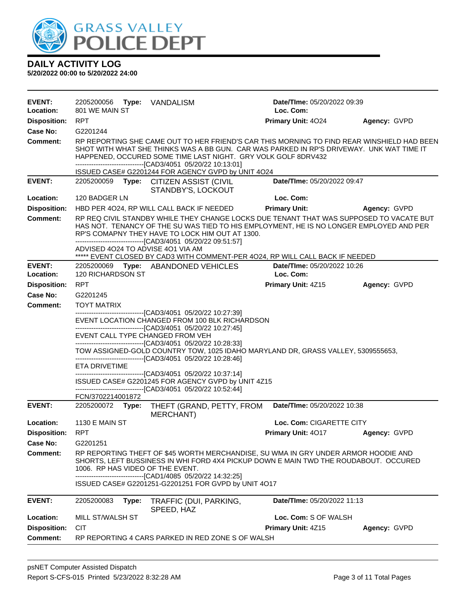

| <b>EVENT:</b><br>Location: | 2205200056 Type:<br>801 WE MAIN ST                                     | VANDALISM                                                                                                                                                                                                                                                                                                                                                                                                                                                                                                                 | Date/TIme: 05/20/2022 09:39<br>Loc. Com: |              |
|----------------------------|------------------------------------------------------------------------|---------------------------------------------------------------------------------------------------------------------------------------------------------------------------------------------------------------------------------------------------------------------------------------------------------------------------------------------------------------------------------------------------------------------------------------------------------------------------------------------------------------------------|------------------------------------------|--------------|
| <b>Disposition:</b>        | <b>RPT</b>                                                             |                                                                                                                                                                                                                                                                                                                                                                                                                                                                                                                           | <b>Primary Unit: 4024</b>                | Agency: GVPD |
| Case No:                   | G2201244                                                               |                                                                                                                                                                                                                                                                                                                                                                                                                                                                                                                           |                                          |              |
| <b>Comment:</b>            |                                                                        | RP REPORTING SHE CAME OUT TO HER FRIEND'S CAR THIS MORNING TO FIND REAR WINSHIELD HAD BEEN<br>SHOT WITH WHAT SHE THINKS WAS A BB GUN. CAR WAS PARKED IN RP'S DRIVEWAY. UNK WAT TIME IT<br>HAPPENED, OCCURED SOME TIME LAST NIGHT. GRY VOLK GOLF 8DRV432<br>--------------------------------[CAD3/4051 05/20/22 10:13:01]<br>ISSUED CASE# G2201244 FOR AGENCY GVPD by UNIT 4O24                                                                                                                                            |                                          |              |
| <b>EVENT:</b>              |                                                                        | 2205200059 Type: CITIZEN ASSIST (CIVIL<br>STANDBY'S, LOCKOUT                                                                                                                                                                                                                                                                                                                                                                                                                                                              | Date/TIme: 05/20/2022 09:47              |              |
| Location:                  | 120 BADGER LN                                                          |                                                                                                                                                                                                                                                                                                                                                                                                                                                                                                                           | Loc. Com:                                |              |
| <b>Disposition:</b>        |                                                                        | HBD PER 4024, RP WILL CALL BACK IF NEEDED                                                                                                                                                                                                                                                                                                                                                                                                                                                                                 | <b>Primary Unit:</b>                     | Agency: GVPD |
| <b>Comment:</b>            | ADVISED 4024 TO ADVISE 401 VIA AM                                      | RP REQ CIVIL STANDBY WHILE THEY CHANGE LOCKS DUE TENANT THAT WAS SUPPOSED TO VACATE BUT<br>HAS NOT. TENANCY OF THE SU WAS TIED TO HIS EMPLOYMENT, HE IS NO LONGER EMPLOYED AND PER<br>RP'S COMAPNY THEY HAVE TO LOCK HIM OUT AT 1300.<br>--------------------------------[CAD3/4051 05/20/22 09:51:57]<br>***** EVENT CLOSED BY CAD3 WITH COMMENT-PER 4024, RP WILL CALL BACK IF NEEDED                                                                                                                                   |                                          |              |
| <b>EVENT:</b>              |                                                                        | 2205200069 Type: ABANDONED VEHICLES                                                                                                                                                                                                                                                                                                                                                                                                                                                                                       | Date/TIme: 05/20/2022 10:26              |              |
| Location:                  | 120 RICHARDSON ST                                                      |                                                                                                                                                                                                                                                                                                                                                                                                                                                                                                                           | Loc. Com:                                |              |
| <b>Disposition:</b>        | <b>RPT</b>                                                             |                                                                                                                                                                                                                                                                                                                                                                                                                                                                                                                           | Primary Unit: 4Z15                       | Agency: GVPD |
| Case No:                   | G2201245                                                               |                                                                                                                                                                                                                                                                                                                                                                                                                                                                                                                           |                                          |              |
| Comment:                   | <b>TOYT MATRIX</b>                                                     |                                                                                                                                                                                                                                                                                                                                                                                                                                                                                                                           |                                          |              |
|                            | EVENT CALL TYPE CHANGED FROM VEH<br>ETA DRIVETIME<br>FCN/3702214001872 | EVENT LOCATION CHANGED FROM 100 BLK RICHARDSON<br>-------------------------------[CAD3/4051 05/20/22 10:27:45]<br>--------------------------------[CAD3/4051 05/20/22 10:28:33]<br>TOW ASSIGNED-GOLD COUNTRY TOW, 1025 IDAHO MARYLAND DR, GRASS VALLEY, 5309555653,<br>-------------------------------[CAD3/4051 05/20/22 10:28:46]<br>-------------------------------[CAD3/4051 05/20/22 10:37:14]<br>ISSUED CASE# G2201245 FOR AGENCY GVPD by UNIT 4Z15<br>-------------------------------[CAD3/4051 05/20/22 10:52:44] |                                          |              |
| <b>EVENT:</b>              | 2205200072 Type:                                                       | THEFT (GRAND, PETTY, FROM<br><b>MERCHANT)</b>                                                                                                                                                                                                                                                                                                                                                                                                                                                                             | Date/TIme: 05/20/2022 10:38              |              |
| Location:                  | <b>1130 E MAIN ST</b>                                                  |                                                                                                                                                                                                                                                                                                                                                                                                                                                                                                                           | Loc. Com: CIGARETTE CITY                 |              |
| Disposition:               | RPT                                                                    |                                                                                                                                                                                                                                                                                                                                                                                                                                                                                                                           | <b>Primary Unit: 4017</b>                | Agency: GVPD |
| <b>Case No:</b>            | G2201251                                                               |                                                                                                                                                                                                                                                                                                                                                                                                                                                                                                                           |                                          |              |
| <b>Comment:</b>            | 1006. RP HAS VIDEO OF THE EVENT.                                       | RP REPORTING THEFT OF \$45 WORTH MERCHANDISE, SU WMA IN GRY UNDER ARMOR HOODIE AND<br>SHORTS, LEFT BUSSINESS IN WHI FORD 4X4 PICKUP DOWN E MAIN TWD THE ROUDABOUT. OCCURED<br>--------------------------[CAD1/4085  05/20/22 14:32:25]<br>ISSUED CASE# G2201251-G2201251 FOR GVPD by UNIT 4O17                                                                                                                                                                                                                            |                                          |              |
| <b>EVENT:</b>              | 2205200083<br>Type:                                                    | TRAFFIC (DUI, PARKING,<br>SPEED, HAZ                                                                                                                                                                                                                                                                                                                                                                                                                                                                                      | <b>Date/TIme: 05/20/2022 11:13</b>       |              |
| Location:                  | MILL ST/WALSH ST                                                       |                                                                                                                                                                                                                                                                                                                                                                                                                                                                                                                           | Loc. Com: S OF WALSH                     |              |
| <b>Disposition:</b>        | <b>CIT</b>                                                             |                                                                                                                                                                                                                                                                                                                                                                                                                                                                                                                           | Primary Unit: 4Z15                       | Agency: GVPD |
| <b>Comment:</b>            |                                                                        | RP REPORTING 4 CARS PARKED IN RED ZONE S OF WALSH                                                                                                                                                                                                                                                                                                                                                                                                                                                                         |                                          |              |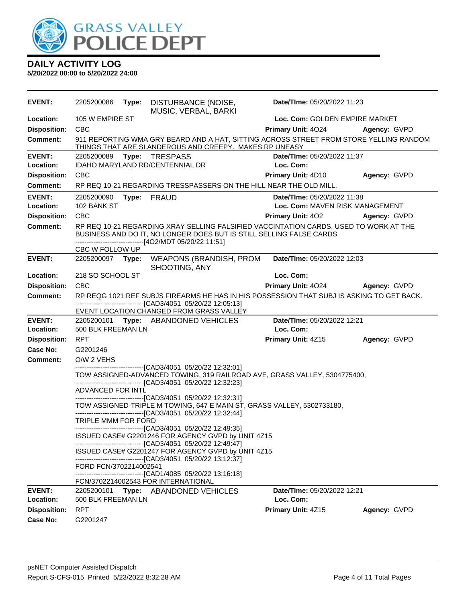

| <b>EVENT:</b>              | 2205200086             | Type: | DISTURBANCE (NOISE,<br>MUSIC, VERBAL, BARKI                                                                                                                                                                             | Date/TIme: 05/20/2022 11:23              |              |
|----------------------------|------------------------|-------|-------------------------------------------------------------------------------------------------------------------------------------------------------------------------------------------------------------------------|------------------------------------------|--------------|
| Location:                  | 105 W EMPIRE ST        |       |                                                                                                                                                                                                                         | Loc. Com: GOLDEN EMPIRE MARKET           |              |
| <b>Disposition:</b>        | <b>CBC</b>             |       |                                                                                                                                                                                                                         | Primary Unit: 4024                       | Agency: GVPD |
| <b>Comment:</b>            |                        |       | 911 REPORTING WMA GRY BEARD AND A HAT, SITTING ACROSS STREET FROM STORE YELLING RANDOM<br>THINGS THAT ARE SLANDEROUS AND CREEPY. MAKES RP UNEASY                                                                        |                                          |              |
| <b>EVENT:</b><br>Location: |                        |       | 2205200089 Type: TRESPASS<br>IDAHO MARYLAND RD/CENTENNIAL DR                                                                                                                                                            | Date/TIme: 05/20/2022 11:37<br>Loc. Com: |              |
| <b>Disposition:</b>        | <b>CBC</b>             |       |                                                                                                                                                                                                                         | <b>Primary Unit: 4D10</b>                | Agency: GVPD |
| <b>Comment:</b>            |                        |       | RP REQ 10-21 REGARDING TRESSPASSERS ON THE HILL NEAR THE OLD MILL.                                                                                                                                                      |                                          |              |
| <b>EVENT:</b>              | 2205200090             |       | Type: FRAUD                                                                                                                                                                                                             | Date/TIme: 05/20/2022 11:38              |              |
| Location:                  | 102 BANK ST            |       |                                                                                                                                                                                                                         | Loc. Com: MAVEN RISK MANAGEMENT          |              |
| <b>Disposition:</b>        | CBC                    |       |                                                                                                                                                                                                                         | <b>Primary Unit: 402</b>                 | Agency: GVPD |
| <b>Comment:</b>            |                        |       | RP REQ 10-21 REGARDING XRAY SELLING FALSIFIED VACCINTATION CARDS, USED TO WORK AT THE<br>BUSINESS AND DO IT, NO LONGER DOES BUT IS STILL SELLING FALSE CARDS.<br>------------------------------[4O2/MDT 05/20/22 11:51] |                                          |              |
|                            | CBC W FOLLOW UP        |       |                                                                                                                                                                                                                         |                                          |              |
| <b>EVENT:</b>              |                        |       | 2205200097 Type: WEAPONS (BRANDISH, PROM<br>SHOOTING, ANY                                                                                                                                                               | Date/TIme: 05/20/2022 12:03              |              |
| Location:                  | 218 SO SCHOOL ST       |       |                                                                                                                                                                                                                         | Loc. Com:                                |              |
| <b>Disposition:</b>        | <b>CBC</b>             |       |                                                                                                                                                                                                                         | Primary Unit: 4024 Agency: GVPD          |              |
| <b>Comment:</b>            |                        |       | RP REQG 1021 REF SUBJS FIREARMS HE HAS IN HIS POSSESSION THAT SUBJ IS ASKING TO GET BACK.<br>-------------------------------[CAD3/4051 05/20/22 12:05:13]                                                               |                                          |              |
|                            |                        |       | EVENT LOCATION CHANGED FROM GRASS VALLEY                                                                                                                                                                                |                                          |              |
| <b>EVENT:</b><br>Location: | 500 BLK FREEMAN LN     |       | 2205200101 Type: ABANDONED VEHICLES                                                                                                                                                                                     | Date/TIme: 05/20/2022 12:21<br>Loc. Com: |              |
| <b>Disposition:</b>        | <b>RPT</b>             |       |                                                                                                                                                                                                                         | <b>Primary Unit: 4Z15</b>                | Agency: GVPD |
| Case No:                   | G2201246               |       |                                                                                                                                                                                                                         |                                          |              |
| <b>Comment:</b>            | O/W 2 VEHS             |       |                                                                                                                                                                                                                         |                                          |              |
|                            |                        |       | -------------------------------[CAD3/4051_05/20/22 12:32:01]<br>TOW ASSIGNED-ADVANCED TOWING, 319 RAILROAD AVE, GRASS VALLEY, 5304775400,<br>-------------------------------[CAD3/4051 05/20/22 12:32:23]               |                                          |              |
|                            | ADVANCED FOR INTL      |       |                                                                                                                                                                                                                         |                                          |              |
|                            |                        |       | --------------------------------[CAD3/4051 05/20/22 12:32:31]<br>TOW ASSIGNED-TRIPLE M TOWING, 647 E MAIN ST, GRASS VALLEY, 5302733180,<br>-------------------------------[CAD3/4051 05/20/22 12:32:44]                 |                                          |              |
|                            | TRIPLE MMM FOR FORD    |       |                                                                                                                                                                                                                         |                                          |              |
|                            |                        |       | ------------------------------[CAD3/4051 05/20/22 12:49:35]<br>ISSUED CASE# G2201246 FOR AGENCY GVPD by UNIT 4Z15<br>------------------------------[CAD3/4051 05/20/22 12:49:47]                                        |                                          |              |
|                            |                        |       | ISSUED CASE# G2201247 FOR AGENCY GVPD by UNIT 4Z15<br>-------------------------------[CAD3/4051_05/20/22 13:12:37]                                                                                                      |                                          |              |
|                            | FORD FCN/3702214002541 |       | -------------------------------[CAD1/4085_05/20/22 13:16:18]                                                                                                                                                            |                                          |              |
|                            |                        |       | FCN/3702214002543 FOR INTERNATIONAL                                                                                                                                                                                     |                                          |              |
| <b>EVENT:</b>              |                        |       | 2205200101 Type: ABANDONED VEHICLES                                                                                                                                                                                     | Date/TIme: 05/20/2022 12:21              |              |
| Location:                  | 500 BLK FREEMAN LN     |       |                                                                                                                                                                                                                         | Loc. Com:                                |              |
| <b>Disposition:</b>        |                        |       |                                                                                                                                                                                                                         |                                          |              |
| Case No:                   | <b>RPT</b><br>G2201247 |       |                                                                                                                                                                                                                         | Primary Unit: 4Z15                       | Agency: GVPD |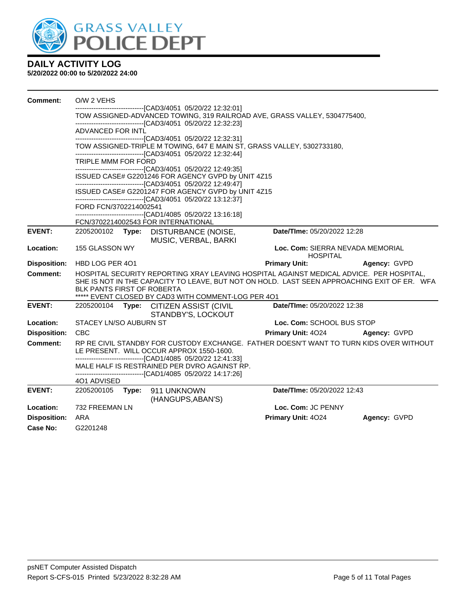

| Comment:            | O/W 2 VEHS                 |       |                                                                                                                               |                                                                                                                                                                                        |              |
|---------------------|----------------------------|-------|-------------------------------------------------------------------------------------------------------------------------------|----------------------------------------------------------------------------------------------------------------------------------------------------------------------------------------|--------------|
|                     |                            |       | ------------------[CAD3/4051_05/20/22 12:32:01]<br>------------------------------[CAD3/4051 05/20/22 12:32:23]                | TOW ASSIGNED-ADVANCED TOWING, 319 RAILROAD AVE, GRASS VALLEY, 5304775400,                                                                                                              |              |
|                     | ADVANCED FOR INTL          |       |                                                                                                                               |                                                                                                                                                                                        |              |
|                     |                            |       | -------------------------------[CAD3/4051 05/20/22 12:32:31]<br>--------------------------------[CAD3/4051 05/20/22 12:32:44] | TOW ASSIGNED-TRIPLE M TOWING, 647 E MAIN ST, GRASS VALLEY, 5302733180,                                                                                                                 |              |
|                     | TRIPLE MMM FOR FORD        |       | -------------------------------[CAD3/4051 05/20/22 12:49:35]                                                                  |                                                                                                                                                                                        |              |
|                     |                            |       | ISSUED CASE# G2201246 FOR AGENCY GVPD by UNIT 4Z15<br>-------------------------------[CAD3/4051 05/20/22 12:49:47]            |                                                                                                                                                                                        |              |
|                     |                            |       | ISSUED CASE# G2201247 FOR AGENCY GVPD by UNIT 4Z15<br>-------------------------------[CAD3/4051 05/20/22 13:12:37]            |                                                                                                                                                                                        |              |
|                     | FORD FCN/3702214002541     |       | -------------------------------[CAD1/4085 05/20/22 13:16:18]                                                                  |                                                                                                                                                                                        |              |
|                     |                            |       | FCN/3702214002543 FOR INTERNATIONAL                                                                                           |                                                                                                                                                                                        |              |
| <b>EVENT:</b>       | 2205200102                 |       | Type: DISTURBANCE (NOISE,<br>MUSIC, VERBAL, BARKI                                                                             | Date/TIme: 05/20/2022 12:28                                                                                                                                                            |              |
| Location:           | 155 GLASSON WY             |       |                                                                                                                               | Loc. Com: SIERRA NEVADA MEMORIAL<br><b>HOSPITAL</b>                                                                                                                                    |              |
| <b>Disposition:</b> | HBD LOG PER 401            |       |                                                                                                                               | <b>Primary Unit:</b>                                                                                                                                                                   | Agency: GVPD |
| Comment:            | BLK PANTS FIRST OF ROBERTA |       | ***** EVENT CLOSED BY CAD3 WITH COMMENT-LOG PER 401                                                                           | HOSPITAL SECURITY REPORTING XRAY LEAVING HOSPITAL AGAINST MEDICAL ADVICE. PER HOSPITAL,<br>SHE IS NOT IN THE CAPACITY TO LEAVE, BUT NOT ON HOLD. LAST SEEN APPROACHING EXIT OF ER. WFA |              |
| <b>EVENT:</b>       | 2205200104                 |       | Type: CITIZEN ASSIST (CIVIL<br>STANDBY'S, LOCKOUT                                                                             | Date/TIme: 05/20/2022 12:38                                                                                                                                                            |              |
| Location:           | STACEY LN/SO AUBURN ST     |       |                                                                                                                               | Loc. Com: SCHOOL BUS STOP                                                                                                                                                              |              |
| <b>Disposition:</b> | <b>CBC</b>                 |       |                                                                                                                               | <b>Primary Unit: 4024</b>                                                                                                                                                              | Agency: GVPD |
| <b>Comment:</b>     |                            |       | LE PRESENT. WILL OCCUR APPROX 1550-1600.<br>-------------------------------[CAD1/4085 05/20/22 12:41:33]                      | RP RE CIVIL STANDBY FOR CUSTODY EXCHANGE. FATHER DOESN'T WANT TO TURN KIDS OVER WITHOUT                                                                                                |              |
|                     |                            |       | MALE HALF IS RESTRAINED PER DVRO AGAINST RP.<br>------------------------------[CAD1/4085 05/20/22 14:17:26]                   |                                                                                                                                                                                        |              |
|                     | 401 ADVISED                |       |                                                                                                                               |                                                                                                                                                                                        |              |
| <b>EVENT:</b>       | 2205200105                 | Type: | 911 UNKNOWN<br>(HANGUPS, ABAN'S)                                                                                              | Date/TIme: 05/20/2022 12:43                                                                                                                                                            |              |
| Location:           | 732 FREEMAN LN             |       |                                                                                                                               | Loc. Com: JC PENNY                                                                                                                                                                     |              |
| <b>Disposition:</b> | ARA                        |       |                                                                                                                               | Primary Unit: 4024                                                                                                                                                                     | Agency: GVPD |
| Case No:            | G2201248                   |       |                                                                                                                               |                                                                                                                                                                                        |              |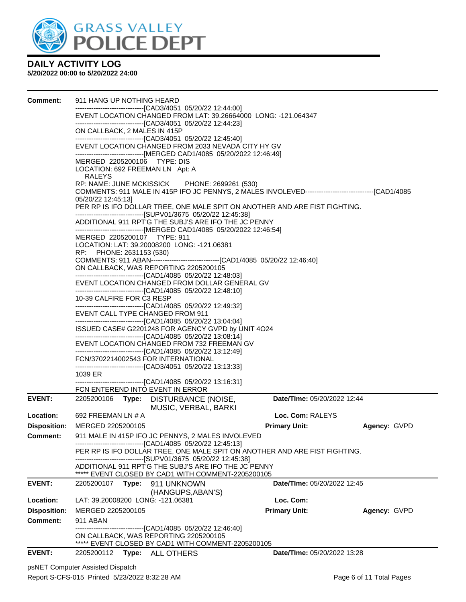

#### **5/20/2022 00:00 to 5/20/2022 24:00**

| Comment:            | 911 HANG UP NOTHING HEARD                                                                                                                                                                                                                                                                                                 |                             |                                                                                 |  |                             |              |  |                                                                 |  |  |                                                              |                                            |  |  |                                                                                                        |
|---------------------|---------------------------------------------------------------------------------------------------------------------------------------------------------------------------------------------------------------------------------------------------------------------------------------------------------------------------|-----------------------------|---------------------------------------------------------------------------------|--|-----------------------------|--------------|--|-----------------------------------------------------------------|--|--|--------------------------------------------------------------|--------------------------------------------|--|--|--------------------------------------------------------------------------------------------------------|
|                     |                                                                                                                                                                                                                                                                                                                           |                             | ------------------------------[CAD3/4051   05/20/22 12:44:00]                   |  |                             |              |  |                                                                 |  |  |                                                              |                                            |  |  |                                                                                                        |
|                     |                                                                                                                                                                                                                                                                                                                           |                             | EVENT LOCATION CHANGED FROM LAT: 39.26664000 LONG: -121.064347                  |  |                             |              |  |                                                                 |  |  |                                                              |                                            |  |  |                                                                                                        |
|                     |                                                                                                                                                                                                                                                                                                                           |                             | ----------------------------------[CAD3/4051 05/20/22 12:44:23]                 |  |                             |              |  |                                                                 |  |  |                                                              |                                            |  |  |                                                                                                        |
|                     | ON CALLBACK, 2 MALES IN 415P<br>-------------------------------[CAD3/4051 05/20/22 12:45:40]<br>EVENT LOCATION CHANGED FROM 2033 NEVADA CITY HY GV                                                                                                                                                                        |                             |                                                                                 |  |                             |              |  |                                                                 |  |  |                                                              |                                            |  |  |                                                                                                        |
|                     |                                                                                                                                                                                                                                                                                                                           |                             |                                                                                 |  |                             |              |  |                                                                 |  |  |                                                              |                                            |  |  |                                                                                                        |
|                     |                                                                                                                                                                                                                                                                                                                           |                             |                                                                                 |  |                             |              |  |                                                                 |  |  |                                                              |                                            |  |  |                                                                                                        |
|                     | ------------------------------[MERGED CAD1/4085_05/20/2022 12:46:49]                                                                                                                                                                                                                                                      |                             |                                                                                 |  |                             |              |  |                                                                 |  |  |                                                              |                                            |  |  |                                                                                                        |
|                     |                                                                                                                                                                                                                                                                                                                           | MERGED 2205200106 TYPE: DIS |                                                                                 |  |                             |              |  |                                                                 |  |  |                                                              |                                            |  |  |                                                                                                        |
|                     | LOCATION: 692 FREEMAN LN Apt: A<br>RALEYS<br>RP: NAME: JUNE MCKISSICK PHONE: 2699261 (530)                                                                                                                                                                                                                                |                             |                                                                                 |  |                             |              |  |                                                                 |  |  |                                                              |                                            |  |  |                                                                                                        |
|                     |                                                                                                                                                                                                                                                                                                                           |                             |                                                                                 |  |                             |              |  |                                                                 |  |  |                                                              |                                            |  |  | COMMENTS: 911 MALE IN 415P IFO JC PENNYS, 2 MALES INVOLEVED---------------------------------[CAD1/4085 |
|                     | 05/20/22 12:45:13]                                                                                                                                                                                                                                                                                                        |                             |                                                                                 |  |                             |              |  |                                                                 |  |  |                                                              |                                            |  |  |                                                                                                        |
|                     |                                                                                                                                                                                                                                                                                                                           |                             | PER RP IS IFO DOLLAR TREE, ONE MALE SPIT ON ANOTHER AND ARE FIST FIGHTING.      |  |                             |              |  |                                                                 |  |  |                                                              |                                            |  |  |                                                                                                        |
|                     |                                                                                                                                                                                                                                                                                                                           |                             | ------------------------------[SUPV01/3675 05/20/22 12:45:38]                   |  |                             |              |  |                                                                 |  |  |                                                              |                                            |  |  |                                                                                                        |
|                     |                                                                                                                                                                                                                                                                                                                           |                             | ADDITIONAL 911 RPT'G THE SUBJ'S ARE IFO THE JC PENNY                            |  |                             |              |  |                                                                 |  |  |                                                              |                                            |  |  |                                                                                                        |
|                     |                                                                                                                                                                                                                                                                                                                           |                             | ------------------------------[MERGED CAD1/4085 05/20/2022 12:46:54]            |  |                             |              |  |                                                                 |  |  |                                                              |                                            |  |  |                                                                                                        |
|                     |                                                                                                                                                                                                                                                                                                                           |                             | MERGED 2205200107 TYPE: 911                                                     |  |                             |              |  |                                                                 |  |  |                                                              |                                            |  |  |                                                                                                        |
|                     | LOCATION: LAT: 39.20008200 LONG: -121.06381<br>RP: PHONE: 2631153 (530)                                                                                                                                                                                                                                                   |                             |                                                                                 |  |                             |              |  |                                                                 |  |  |                                                              |                                            |  |  |                                                                                                        |
|                     |                                                                                                                                                                                                                                                                                                                           |                             | COMMENTS: 911 ABAN--------------------------------[CAD1/4085 05/20/22 12:46:40] |  |                             |              |  |                                                                 |  |  |                                                              |                                            |  |  |                                                                                                        |
|                     |                                                                                                                                                                                                                                                                                                                           |                             | ON CALLBACK, WAS REPORTING 2205200105                                           |  |                             |              |  |                                                                 |  |  |                                                              |                                            |  |  |                                                                                                        |
|                     | -------------------------------[CAD1/4085 05/20/22 12:48:03]<br>EVENT LOCATION CHANGED FROM DOLLAR GENERAL GV                                                                                                                                                                                                             |                             |                                                                                 |  |                             |              |  |                                                                 |  |  |                                                              |                                            |  |  |                                                                                                        |
|                     |                                                                                                                                                                                                                                                                                                                           |                             |                                                                                 |  |                             |              |  | ----------------------------------[CAD1/4085 05/20/22 12:48:10] |  |  |                                                              |                                            |  |  |                                                                                                        |
|                     | 10-39 CALFIRE FOR C3 RESP<br>-------------------------------[CAD1/4085 05/20/22 12:49:32]<br>EVENT CALL TYPE CHANGED FROM 911<br>----------------------------------[CAD1/4085 05/20/22 13:04:04]<br>ISSUED CASE# G2201248 FOR AGENCY GVPD by UNIT 4O24<br>----------------------------------[CAD1/4085 05/20/22 13:08:14] |                             |                                                                                 |  |                             |              |  |                                                                 |  |  |                                                              |                                            |  |  |                                                                                                        |
|                     |                                                                                                                                                                                                                                                                                                                           |                             |                                                                                 |  |                             |              |  |                                                                 |  |  |                                                              |                                            |  |  |                                                                                                        |
|                     |                                                                                                                                                                                                                                                                                                                           |                             |                                                                                 |  |                             |              |  |                                                                 |  |  |                                                              |                                            |  |  |                                                                                                        |
|                     |                                                                                                                                                                                                                                                                                                                           |                             |                                                                                 |  |                             |              |  |                                                                 |  |  |                                                              | EVENT LOCATION CHANGED FROM 732 FREEMAN GV |  |  |                                                                                                        |
|                     |                                                                                                                                                                                                                                                                                                                           |                             |                                                                                 |  |                             |              |  |                                                                 |  |  | -------------------------------[CAD1/4085 05/20/22 13:12:49] |                                            |  |  |                                                                                                        |
|                     |                                                                                                                                                                                                                                                                                                                           |                             | FCN/3702214002543 FOR INTERNATIONAL                                             |  |                             |              |  |                                                                 |  |  |                                                              |                                            |  |  |                                                                                                        |
|                     |                                                                                                                                                                                                                                                                                                                           |                             | --------------------------------[CAD3/4051 05/20/22 13:13:33]                   |  |                             |              |  |                                                                 |  |  |                                                              |                                            |  |  |                                                                                                        |
|                     | 1039 ER                                                                                                                                                                                                                                                                                                                   |                             | --------------------------------[CAD1/4085_05/20/22 13:16:31]                   |  |                             |              |  |                                                                 |  |  |                                                              |                                            |  |  |                                                                                                        |
|                     |                                                                                                                                                                                                                                                                                                                           |                             | FCN ENTEREND INTO EVENT IN ERROR                                                |  |                             |              |  |                                                                 |  |  |                                                              |                                            |  |  |                                                                                                        |
| <b>EVENT:</b>       |                                                                                                                                                                                                                                                                                                                           |                             | 2205200106 Type: DISTURBANCE (NOISE,                                            |  | Date/TIme: 05/20/2022 12:44 |              |  |                                                                 |  |  |                                                              |                                            |  |  |                                                                                                        |
|                     |                                                                                                                                                                                                                                                                                                                           |                             | MUSIC, VERBAL, BARKI                                                            |  |                             |              |  |                                                                 |  |  |                                                              |                                            |  |  |                                                                                                        |
| Location:           | 692 FREEMAN LN # A                                                                                                                                                                                                                                                                                                        |                             |                                                                                 |  | Loc. Com: RALEYS            |              |  |                                                                 |  |  |                                                              |                                            |  |  |                                                                                                        |
| <b>Disposition:</b> | MERGED 2205200105                                                                                                                                                                                                                                                                                                         |                             |                                                                                 |  | <b>Primary Unit:</b>        | Agency: GVPD |  |                                                                 |  |  |                                                              |                                            |  |  |                                                                                                        |
|                     |                                                                                                                                                                                                                                                                                                                           |                             | 911 MALE IN 415P IFO JC PENNYS, 2 MALES INVOLEVED                               |  |                             |              |  |                                                                 |  |  |                                                              |                                            |  |  |                                                                                                        |
| <b>Comment:</b>     |                                                                                                                                                                                                                                                                                                                           |                             | -------------------------------[CAD1/4085 05/20/22 12:45:13]                    |  |                             |              |  |                                                                 |  |  |                                                              |                                            |  |  |                                                                                                        |
|                     |                                                                                                                                                                                                                                                                                                                           |                             | PER RP IS IFO DOLLAR TREE, ONE MALE SPIT ON ANOTHER AND ARE FIST FIGHTING.      |  |                             |              |  |                                                                 |  |  |                                                              |                                            |  |  |                                                                                                        |
|                     |                                                                                                                                                                                                                                                                                                                           |                             | -------------------------------[SUPV01/3675 05/20/22 12:45:38]                  |  |                             |              |  |                                                                 |  |  |                                                              |                                            |  |  |                                                                                                        |
|                     |                                                                                                                                                                                                                                                                                                                           |                             | ADDITIONAL 911 RPT'G THE SUBJ'S ARE IFO THE JC PENNY                            |  |                             |              |  |                                                                 |  |  |                                                              |                                            |  |  |                                                                                                        |
|                     |                                                                                                                                                                                                                                                                                                                           |                             | ***** EVENT CLOSED BY CAD1 WITH COMMENT-2205200105                              |  |                             |              |  |                                                                 |  |  |                                                              |                                            |  |  |                                                                                                        |
| <b>EVENT:</b>       | 2205200107                                                                                                                                                                                                                                                                                                                |                             | Type: 911 UNKNOWN                                                               |  | Date/TIme: 05/20/2022 12:45 |              |  |                                                                 |  |  |                                                              |                                            |  |  |                                                                                                        |
|                     |                                                                                                                                                                                                                                                                                                                           |                             | (HANGUPS, ABAN'S)                                                               |  |                             |              |  |                                                                 |  |  |                                                              |                                            |  |  |                                                                                                        |
| Location:           |                                                                                                                                                                                                                                                                                                                           |                             | LAT: 39.20008200 LONG: -121.06381                                               |  | Loc. Com:                   |              |  |                                                                 |  |  |                                                              |                                            |  |  |                                                                                                        |
| <b>Disposition:</b> | MERGED 2205200105                                                                                                                                                                                                                                                                                                         |                             |                                                                                 |  | <b>Primary Unit:</b>        | Agency: GVPD |  |                                                                 |  |  |                                                              |                                            |  |  |                                                                                                        |
| Comment:            | 911 ABAN                                                                                                                                                                                                                                                                                                                  |                             |                                                                                 |  |                             |              |  |                                                                 |  |  |                                                              |                                            |  |  |                                                                                                        |
|                     |                                                                                                                                                                                                                                                                                                                           |                             | -------------------------------[CAD1/4085 05/20/22 12:46:40]                    |  |                             |              |  |                                                                 |  |  |                                                              |                                            |  |  |                                                                                                        |
|                     |                                                                                                                                                                                                                                                                                                                           |                             | ON CALLBACK, WAS REPORTING 2205200105                                           |  |                             |              |  |                                                                 |  |  |                                                              |                                            |  |  |                                                                                                        |
|                     |                                                                                                                                                                                                                                                                                                                           |                             | ***** EVENT CLOSED BY CAD1 WITH COMMENT-2205200105                              |  |                             |              |  |                                                                 |  |  |                                                              |                                            |  |  |                                                                                                        |
| <b>EVENT:</b>       | 2205200112                                                                                                                                                                                                                                                                                                                |                             | Type: ALL OTHERS                                                                |  | Date/TIme: 05/20/2022 13:28 |              |  |                                                                 |  |  |                                                              |                                            |  |  |                                                                                                        |
|                     |                                                                                                                                                                                                                                                                                                                           |                             |                                                                                 |  |                             |              |  |                                                                 |  |  |                                                              |                                            |  |  |                                                                                                        |

psNET Computer Assisted Dispatch Report S-CFS-015 Printed 5/23/2022 8:32:28 AM Page 6 of 11 Total Pages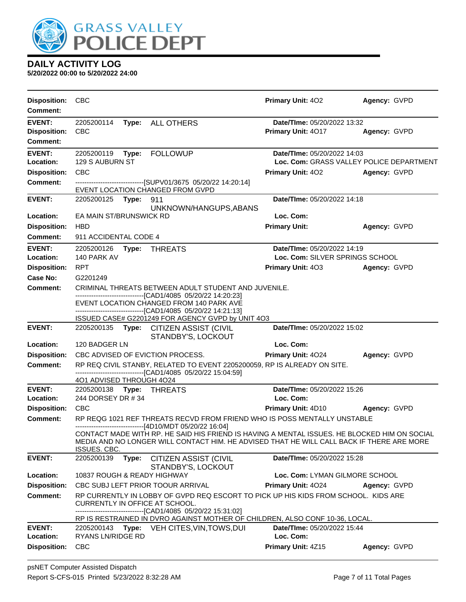

| <b>Disposition:</b><br><b>Comment:</b>                  | <b>CBC</b>                                                                                                                                                                                                                                               | Primary Unit: 402                                                       | Agency: GVPD |
|---------------------------------------------------------|----------------------------------------------------------------------------------------------------------------------------------------------------------------------------------------------------------------------------------------------------------|-------------------------------------------------------------------------|--------------|
| <b>EVENT:</b><br><b>Disposition:</b><br><b>Comment:</b> | 2205200114<br>Type: ALL OTHERS<br><b>CBC</b>                                                                                                                                                                                                             | Date/TIme: 05/20/2022 13:32<br>Primary Unit: 4017                       | Agency: GVPD |
| <b>EVENT:</b><br>Location:                              | 2205200119<br><b>FOLLOWUP</b><br>Type:<br>129 S AUBURN ST                                                                                                                                                                                                | Date/TIme: 05/20/2022 14:03<br>Loc. Com: GRASS VALLEY POLICE DEPARTMENT |              |
| <b>Disposition:</b>                                     | <b>CBC</b>                                                                                                                                                                                                                                               | <b>Primary Unit: 402</b>                                                | Agency: GVPD |
| <b>Comment:</b>                                         | ------------------------------[SUPV01/3675 05/20/22 14:20:14]<br><b>EVENT LOCATION CHANGED FROM GVPD</b>                                                                                                                                                 |                                                                         |              |
| <b>EVENT:</b>                                           | 2205200125 Type:<br>911                                                                                                                                                                                                                                  | Date/TIme: 05/20/2022 14:18                                             |              |
| Location:                                               | UNKNOWN/HANGUPS, ABANS<br>EA MAIN ST/BRUNSWICK RD                                                                                                                                                                                                        | Loc. Com:                                                               |              |
| <b>Disposition:</b>                                     | <b>HBD</b>                                                                                                                                                                                                                                               | <b>Primary Unit:</b>                                                    | Agency: GVPD |
| <b>Comment:</b>                                         | 911 ACCIDENTAL CODE 4                                                                                                                                                                                                                                    |                                                                         |              |
| <b>EVENT:</b><br>Location:                              | 2205200126    Type: THREATS<br>140 PARK AV                                                                                                                                                                                                               | Date/TIme: 05/20/2022 14:19<br>Loc. Com: SILVER SPRINGS SCHOOL          |              |
| <b>Disposition:</b>                                     | <b>RPT</b>                                                                                                                                                                                                                                               | <b>Primary Unit: 403</b>                                                | Agency: GVPD |
| Case No:                                                | G2201249                                                                                                                                                                                                                                                 |                                                                         |              |
| Comment:                                                | CRIMINAL THREATS BETWEEN ADULT STUDENT AND JUVENILE.                                                                                                                                                                                                     |                                                                         |              |
|                                                         | -------------------------------[CAD1/4085 05/20/22 14:20:23]<br>EVENT LOCATION CHANGED FROM 140 PARK AVE<br>-------------------------------[CAD1/4085 05/20/22 14:21:13]<br>ISSUED CASE# G2201249 FOR AGENCY GVPD by UNIT 4O3                            |                                                                         |              |
| <b>EVENT:</b>                                           | 2205200135 Type: CITIZEN ASSIST (CIVIL                                                                                                                                                                                                                   | Date/TIme: 05/20/2022 15:02                                             |              |
|                                                         | STANDBY'S, LOCKOUT                                                                                                                                                                                                                                       |                                                                         |              |
| Location:                                               | 120 BADGER LN                                                                                                                                                                                                                                            | Loc. Com:                                                               |              |
| <b>Disposition:</b>                                     | CBC ADVISED OF EVICTION PROCESS.                                                                                                                                                                                                                         | Primary Unit: 4024                                                      | Agency: GVPD |
| <b>Comment:</b>                                         | RP REQ CIVIL STANBY, RELATED TO EVENT 2205200059, RP IS ALREADY ON SITE.<br>-------------------------------[CAD1/4085 05/20/22 15:04:59]                                                                                                                 |                                                                         |              |
|                                                         | 401 ADVISED THROUGH 4024                                                                                                                                                                                                                                 |                                                                         |              |
| <b>EVENT:</b>                                           | 2205200138    Type: THREATS                                                                                                                                                                                                                              | Date/TIme: 05/20/2022 15:26                                             |              |
| Location:                                               | 244 DORSEY DR # 34                                                                                                                                                                                                                                       | Loc. Com:                                                               |              |
| <b>Disposition:</b>                                     | <b>CBC</b>                                                                                                                                                                                                                                               | <b>Primary Unit: 4D10</b>                                               | Agency: GVPD |
| <b>Comment:</b>                                         | RP REQG 1021 REF THREATS RECVD FROM FRIEND WHO IS POSS MENTALLY UNSTABLE<br>------------------------[4D10/MDT 05/20/22 16:04]                                                                                                                            |                                                                         |              |
|                                                         | CONTACT MADE WITH RP. HE SAID HIS FRIEND IS HAVING A MENTAL ISSUES. HE BLOCKED HIM ON SOCIAL<br>MEDIA AND NO LONGER WILL CONTACT HIM. HE ADVISED THAT HE WILL CALL BACK IF THERE ARE MORE<br>ISSUES. CBC.                                                |                                                                         |              |
| <b>EVENT:</b>                                           | 2205200139 Type:<br>CITIZEN ASSIST (CIVIL<br>STANDBY'S, LOCKOUT                                                                                                                                                                                          | Date/TIme: 05/20/2022 15:28                                             |              |
| Location:                                               | 10837 ROUGH & READY HIGHWAY                                                                                                                                                                                                                              | Loc. Com: LYMAN GILMORE SCHOOL                                          |              |
| <b>Disposition:</b>                                     | CBC SUBJ LEFT PRIOR TOOUR ARRIVAL                                                                                                                                                                                                                        | Primary Unit: 4024                                                      | Agency: GVPD |
| <b>Comment:</b>                                         | RP CURRENTLY IN LOBBY OF GVPD REQ ESCORT TO PICK UP HIS KIDS FROM SCHOOL. KIDS ARE<br>CURRENTLY IN OFFICE AT SCHOOL.<br>-------------------[CAD1/4085 05/20/22 15:31:02]<br>RP IS RESTRAINED IN DVRO AGAINST MOTHER OF CHILDREN, ALSO CONF 10-36, LOCAL. |                                                                         |              |
| <b>EVENT:</b>                                           | 2205200143<br>Type:<br>VEH CITES, VIN, TOWS, DUI                                                                                                                                                                                                         | Date/TIme: 05/20/2022 15:44                                             |              |
| Location:                                               | <b>RYANS LN/RIDGE RD</b>                                                                                                                                                                                                                                 | Loc. Com:                                                               |              |
| <b>Disposition:</b>                                     | <b>CBC</b>                                                                                                                                                                                                                                               | Primary Unit: 4Z15                                                      | Agency: GVPD |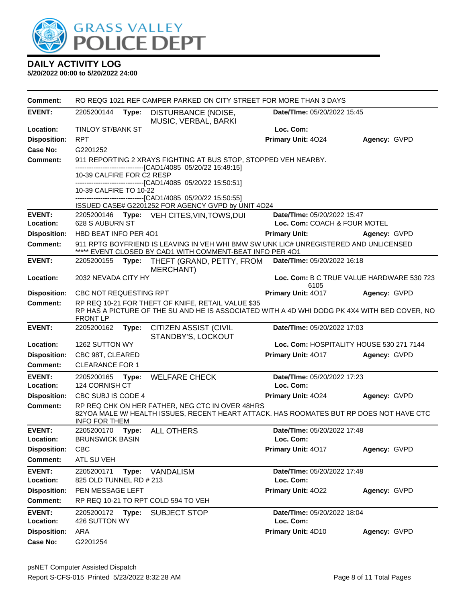

| <b>Comment:</b>            |                                      |       | RO REQG 1021 REF CAMPER PARKED ON CITY STREET FOR MORE THAN 3 DAYS                                                                                 |                                                             |                                           |
|----------------------------|--------------------------------------|-------|----------------------------------------------------------------------------------------------------------------------------------------------------|-------------------------------------------------------------|-------------------------------------------|
| <b>EVENT:</b>              | 2205200144                           | Type: | DISTURBANCE (NOISE,<br>MUSIC, VERBAL, BARKI                                                                                                        | Date/TIme: 05/20/2022 15:45                                 |                                           |
| Location:                  | <b>TINLOY ST/BANK ST</b>             |       |                                                                                                                                                    | Loc. Com:                                                   |                                           |
| <b>Disposition:</b>        | <b>RPT</b>                           |       |                                                                                                                                                    | Primary Unit: 4024                                          | Agency: GVPD                              |
| Case No:                   | G2201252                             |       |                                                                                                                                                    |                                                             |                                           |
| Comment:                   |                                      |       | 911 REPORTING 2 XRAYS FIGHTING AT BUS STOP, STOPPED VEH NEARBY.<br>-------------------------------[CAD1/4085 05/20/22 15:49:15]                    |                                                             |                                           |
|                            | 10-39 CALFIRE FOR C2 RESP            |       |                                                                                                                                                    |                                                             |                                           |
|                            | 10-39 CALFIRE TO 10-22               |       | --------------------------------[CAD1/4085 05/20/22 15:50:51]                                                                                      |                                                             |                                           |
|                            |                                      |       | ------------------------[CAD1/4085 05/20/22 15:50:55]                                                                                              |                                                             |                                           |
|                            |                                      |       | ISSUED CASE# G2201252 FOR AGENCY GVPD by UNIT 4O24                                                                                                 |                                                             |                                           |
| <b>EVENT:</b><br>Location: | 2205200146<br>628 S AUBURN ST        |       | Type: VEH CITES, VIN, TOWS, DUI                                                                                                                    | Date/TIme: 05/20/2022 15:47<br>Loc. Com: COACH & FOUR MOTEL |                                           |
| <b>Disposition:</b>        | HBD BEAT INFO PER 401                |       |                                                                                                                                                    | <b>Primary Unit:</b>                                        | Agency: GVPD                              |
| <b>Comment:</b>            |                                      |       | 911 RPTG BOYFRIEND IS LEAVING IN VEH WHI BMW SW UNK LIC# UNREGISTERED AND UNLICENSED                                                               |                                                             |                                           |
|                            |                                      |       | ***** EVENT CLOSED BY CAD1 WITH COMMENT-BEAT INFO PER 401                                                                                          |                                                             |                                           |
| <b>EVENT:</b>              | 2205200155                           | Type: | THEFT (GRAND, PETTY, FROM<br><b>MERCHANT)</b>                                                                                                      | Date/TIme: 05/20/2022 16:18                                 |                                           |
| Location:                  | 2032 NEVADA CITY HY                  |       |                                                                                                                                                    | 6105                                                        | Loc. Com: B C TRUE VALUE HARDWARE 530 723 |
| <b>Disposition:</b>        | CBC NOT REQUESTING RPT               |       |                                                                                                                                                    | Primary Unit: 4017                                          | Agency: GVPD                              |
| <b>Comment:</b>            | <b>FRONT LP</b>                      |       | RP REQ 10-21 FOR THEFT OF KNIFE, RETAIL VALUE \$35<br>RP HAS A PICTURE OF THE SU AND HE IS ASSOCIATED WITH A 4D WHI DODG PK 4X4 WITH BED COVER, NO |                                                             |                                           |
| <b>EVENT:</b>              | 2205200162                           | Type: | <b>CITIZEN ASSIST (CIVIL</b><br>STANDBY'S, LOCKOUT                                                                                                 | Date/TIme: 05/20/2022 17:03                                 |                                           |
| Location:                  | 1262 SUTTON WY                       |       |                                                                                                                                                    | Loc. Com: HOSPITALITY HOUSE 530 271 7144                    |                                           |
| <b>Disposition:</b>        | CBC 98T, CLEARED                     |       |                                                                                                                                                    | Primary Unit: 4017                                          | Agency: GVPD                              |
| Comment:                   | <b>CLEARANCE FOR 1</b>               |       |                                                                                                                                                    |                                                             |                                           |
| <b>EVENT:</b>              | 2205200165                           | Type: | <b>WELFARE CHECK</b>                                                                                                                               | Date/TIme: 05/20/2022 17:23                                 |                                           |
| Location:                  | 124 CORNISH CT                       |       |                                                                                                                                                    | Loc. Com:                                                   |                                           |
| <b>Disposition:</b>        | CBC SUBJ IS CODE 4                   |       |                                                                                                                                                    | <b>Primary Unit: 4024</b>                                   | Agency: GVPD                              |
| <b>Comment:</b>            | <b>INFO FOR THEM</b>                 |       | RP REQ CHK ON HER FATHER, NEG CTC IN OVER 48HRS<br>82YOA MALE W/HEALTH ISSUES, RECENT HEART ATTACK. HAS ROOMATES BUT RP DOES NOT HAVE CTC          |                                                             |                                           |
| <b>EVENT:</b><br>Location: | 2205200170<br><b>BRUNSWICK BASIN</b> | Type: | <b>ALL OTHERS</b>                                                                                                                                  | Date/TIme: 05/20/2022 17:48<br>Loc. Com:                    |                                           |
| <b>Disposition:</b>        | <b>CBC</b>                           |       |                                                                                                                                                    | Primary Unit: 4017                                          | Agency: GVPD                              |
| <b>Comment:</b>            | ATL SU VEH                           |       |                                                                                                                                                    |                                                             |                                           |
| <b>EVENT:</b>              | 2205200171                           | Type: | VANDALISM                                                                                                                                          | Date/TIme: 05/20/2022 17:48                                 |                                           |
| Location:                  | 825 OLD TUNNEL RD # 213              |       |                                                                                                                                                    | Loc. Com:                                                   |                                           |
| <b>Disposition:</b>        | PEN MESSAGE LEFT                     |       |                                                                                                                                                    | Primary Unit: 4022                                          | Agency: GVPD                              |
| Comment:                   |                                      |       | RP REQ 10-21 TO RPT COLD 594 TO VEH                                                                                                                |                                                             |                                           |
| <b>EVENT:</b><br>Location: | 2205200172<br>426 SUTTON WY          | Type: | SUBJECT STOP                                                                                                                                       | Date/TIme: 05/20/2022 18:04<br>Loc. Com:                    |                                           |
| <b>Disposition:</b>        | ARA                                  |       |                                                                                                                                                    | Primary Unit: 4D10                                          | Agency: GVPD                              |
| Case No:                   | G2201254                             |       |                                                                                                                                                    |                                                             |                                           |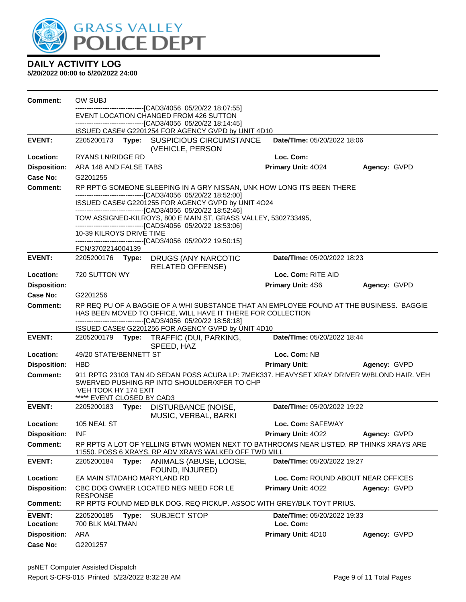

| <b>Comment:</b>            | OW SUBJ                                            |       |                                                                                                                                                                                                                        |                                          |                     |
|----------------------------|----------------------------------------------------|-------|------------------------------------------------------------------------------------------------------------------------------------------------------------------------------------------------------------------------|------------------------------------------|---------------------|
|                            |                                                    |       | -------------------------------[CAD3/4056_05/20/22 18:07:55]<br>EVENT LOCATION CHANGED FROM 426 SUTTON                                                                                                                 |                                          |                     |
|                            |                                                    |       | -------------------------------[CAD3/4056_05/20/22 18:14:45]                                                                                                                                                           |                                          |                     |
|                            |                                                    |       | ISSUED CASE# G2201254 FOR AGENCY GVPD by UNIT 4D10                                                                                                                                                                     |                                          |                     |
| <b>EVENT:</b>              |                                                    |       | 2205200173 Type: SUSPICIOUS CIRCUMSTANCE<br>(VEHICLE, PERSON                                                                                                                                                           | Date/TIme: 05/20/2022 18:06              |                     |
| Location:                  | <b>RYANS LN/RIDGE RD</b>                           |       |                                                                                                                                                                                                                        | Loc. Com:                                |                     |
| <b>Disposition:</b>        | ARA 148 AND FALSE TABS                             |       |                                                                                                                                                                                                                        | Primary Unit: 4024                       | Agency: GVPD        |
| Case No:                   | G2201255                                           |       |                                                                                                                                                                                                                        |                                          |                     |
| <b>Comment:</b>            |                                                    |       | RP RPT'G SOMEONE SLEEPING IN A GRY NISSAN, UNK HOW LONG ITS BEEN THERE<br>-------------------------------[CAD3/4056 05/20/22 18:52:00]                                                                                 |                                          |                     |
|                            |                                                    |       | ISSUED CASE# G2201255 FOR AGENCY GVPD by UNIT 4O24<br>-------------------------------[CAD3/4056 05/20/22 18:52:46]                                                                                                     |                                          |                     |
|                            |                                                    |       | TOW ASSIGNED-KILROYS, 800 E MAIN ST, GRASS VALLEY, 5302733495,<br>-------------------------------[CAD3/4056 05/20/22 18:53:06]                                                                                         |                                          |                     |
|                            | 10-39 KILROYS DRIVE TIME                           |       | ------------------------------[CAD3/4056_05/20/22 19:50:15]                                                                                                                                                            |                                          |                     |
|                            | FCN/3702214004139                                  |       |                                                                                                                                                                                                                        |                                          |                     |
| <b>EVENT:</b>              |                                                    |       | 2205200176 Type: DRUGS (ANY NARCOTIC<br><b>RELATED OFFENSE)</b>                                                                                                                                                        | Date/TIme: 05/20/2022 18:23              |                     |
| Location:                  | 720 SUTTON WY                                      |       |                                                                                                                                                                                                                        | Loc. Com: RITE AID                       |                     |
| <b>Disposition:</b>        |                                                    |       |                                                                                                                                                                                                                        | <b>Primary Unit: 4S6</b>                 | Agency: GVPD        |
| Case No:                   | G2201256                                           |       |                                                                                                                                                                                                                        |                                          |                     |
| <b>Comment:</b>            |                                                    |       | RP REQ PU OF A BAGGIE OF A WHI SUBSTANCE THAT AN EMPLOYEE FOUND AT THE BUSINESS. BAGGIE<br>HAS BEEN MOVED TO OFFICE, WILL HAVE IT THERE FOR COLLECTION<br>-------------------------------[CAD3/4056_05/20/22 18:58:18] |                                          |                     |
|                            |                                                    |       | ISSUED CASE# G2201256 FOR AGENCY GVPD by UNIT 4D10                                                                                                                                                                     |                                          |                     |
| <b>EVENT:</b>              |                                                    |       | 2205200179 Type: TRAFFIC (DUI, PARKING,<br>SPEED, HAZ                                                                                                                                                                  | Date/TIme: 05/20/2022 18:44              |                     |
| Location:                  | 49/20 STATE/BENNETT ST                             |       |                                                                                                                                                                                                                        | Loc. Com: NB                             |                     |
| <b>Disposition:</b>        | <b>HBD</b>                                         |       |                                                                                                                                                                                                                        | <b>Primary Unit:</b>                     | Agency: GVPD        |
| <b>Comment:</b>            | VEH TOOK HY 174 EXIT<br>***** EVENT CLOSED BY CAD3 |       | 911 RPTG 23103 TAN 4D SEDAN POSS ACURA LP: 7MEK337. HEAVYSET XRAY DRIVER W/BLOND HAIR. VEH<br>SWERVED PUSHING RP INTO SHOULDER/XFER TO CHP                                                                             |                                          |                     |
| <b>EVENT:</b>              |                                                    |       | 2205200183 Type: DISTURBANCE (NOISE,<br>MUSIC, VERBAL, BARKI                                                                                                                                                           | Date/TIme: 05/20/2022 19:22              |                     |
| Location:                  | 105 NEAL ST                                        |       |                                                                                                                                                                                                                        | Loc. Com: SAFEWAY                        |                     |
| Disposition: INF           |                                                    |       |                                                                                                                                                                                                                        | <b>Primary Unit: 4022</b>                | <b>Agency: GVPD</b> |
| Comment:                   |                                                    |       | RP RPTG A LOT OF YELLING BTWN WOMEN NEXT TO BATHROOMS NEAR LISTED. RP THINKS XRAYS ARE<br>11550. POSS 6 XRAYS. RP ADV XRAYS WALKED OFF TWD MILL                                                                        |                                          |                     |
| <b>EVENT:</b>              | 2205200184                                         | Type: | ANIMALS (ABUSE, LOOSE,<br>FOUND, INJURED)                                                                                                                                                                              | Date/TIme: 05/20/2022 19:27              |                     |
| Location:                  | EA MAIN ST/IDAHO MARYLAND RD                       |       |                                                                                                                                                                                                                        | Loc. Com: ROUND ABOUT NEAR OFFICES       |                     |
| <b>Disposition:</b>        | <b>RESPONSE</b>                                    |       | CBC DOG OWNER LOCATED NEG NEED FOR LE                                                                                                                                                                                  | <b>Primary Unit: 4022</b>                | Agency: GVPD        |
| <b>Comment:</b>            |                                                    |       | RP RPTG FOUND MED BLK DOG. REQ PICKUP. ASSOC WITH GREY/BLK TOYT PRIUS.                                                                                                                                                 |                                          |                     |
| <b>EVENT:</b><br>Location: | 2205200185<br>700 BLK MALTMAN                      | Type: | <b>SUBJECT STOP</b>                                                                                                                                                                                                    | Date/TIme: 05/20/2022 19:33<br>Loc. Com: |                     |
| <b>Disposition:</b>        | ARA                                                |       |                                                                                                                                                                                                                        | Primary Unit: 4D10                       | Agency: GVPD        |
| <b>Case No:</b>            | G2201257                                           |       |                                                                                                                                                                                                                        |                                          |                     |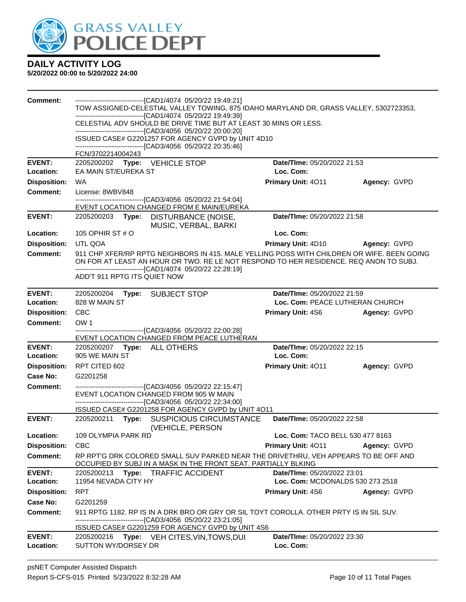

| <b>Comment:</b>                     | -------------------------------[CAD1/4074 05/20/22 19:49:21]<br>TOW ASSIGNED-CELESTIAL VALLEY TOWING, 875 IDAHO MARYLAND DR, GRASS VALLEY, 5302723353,<br>------------------------------[CAD1/4074 05/20/22 19:49:39]<br>CELESTIAL ADV SHOULD BE DRIVE TIME BUT AT LEAST 30 MINS OR LESS.<br>-------------------------------[CAD3/4056 05/20/22 20:00:20]<br>ISSUED CASE# G2201257 FOR AGENCY GVPD by UNIT 4D10<br>------------------------------[CAD3/4056 05/20/22 20:35:46]<br>FCN/3702214004243 |                                    |              |  |  |
|-------------------------------------|-----------------------------------------------------------------------------------------------------------------------------------------------------------------------------------------------------------------------------------------------------------------------------------------------------------------------------------------------------------------------------------------------------------------------------------------------------------------------------------------------------|------------------------------------|--------------|--|--|
| <b>EVENT:</b>                       | 2205200202 Type: VEHICLE STOP                                                                                                                                                                                                                                                                                                                                                                                                                                                                       | Date/TIme: 05/20/2022 21:53        |              |  |  |
| Location:                           | EA MAIN ST/EUREKA ST                                                                                                                                                                                                                                                                                                                                                                                                                                                                                | Loc. Com:                          |              |  |  |
| <b>Disposition:</b>                 | <b>WA</b>                                                                                                                                                                                                                                                                                                                                                                                                                                                                                           | Primary Unit: 4011                 | Agency: GVPD |  |  |
| <b>Comment:</b>                     | License: 8WBV848<br>-------------------------------[CAD3/4056 05/20/22 21:54:04]                                                                                                                                                                                                                                                                                                                                                                                                                    |                                    |              |  |  |
|                                     | EVENT LOCATION CHANGED FROM E MAIN/EUREKA                                                                                                                                                                                                                                                                                                                                                                                                                                                           |                                    |              |  |  |
| <b>EVENT:</b>                       | 2205200203 Type: DISTURBANCE (NOISE,<br>MUSIC, VERBAL, BARKI                                                                                                                                                                                                                                                                                                                                                                                                                                        | Date/TIme: 05/20/2022 21:58        |              |  |  |
| Location:                           | 105 OPHIR ST # O                                                                                                                                                                                                                                                                                                                                                                                                                                                                                    | Loc. Com:                          |              |  |  |
| <b>Disposition:</b>                 | UTL QOA                                                                                                                                                                                                                                                                                                                                                                                                                                                                                             | Primary Unit: 4D10                 | Agency: GVPD |  |  |
| Comment:                            | 911 CHP XFER/RP RPTG NEIGHBORS IN 415. MALE YELLING POSS WITH CHILDREN OR WIFE. BEEN GOING<br>ON FOR AT LEAST AN HOUR OR TWO. RE LE NOT RESPOND TO HER RESIDENCE. REQ ANON TO SUBJ.<br>-------------------------------[CAD1/4074_05/20/22 22:28:19]<br>ADD'T 911 RPTG ITS QUIET NOW                                                                                                                                                                                                                 |                                    |              |  |  |
| <b>EVENT:</b>                       | 2205200204<br>Type: SUBJECT STOP                                                                                                                                                                                                                                                                                                                                                                                                                                                                    | Date/TIme: 05/20/2022 21:59        |              |  |  |
| Location:                           | 828 W MAIN ST                                                                                                                                                                                                                                                                                                                                                                                                                                                                                       | Loc. Com: PEACE LUTHERAN CHURCH    |              |  |  |
| <b>Disposition:</b>                 | CBC                                                                                                                                                                                                                                                                                                                                                                                                                                                                                                 | <b>Primary Unit: 4S6</b>           | Agency: GVPD |  |  |
| <b>Comment:</b>                     | OW <sub>1</sub><br>-------------------------------[CAD3/4056 05/20/22 22:00:28]                                                                                                                                                                                                                                                                                                                                                                                                                     |                                    |              |  |  |
|                                     | EVENT LOCATION CHANGED FROM PEACE LUTHERAN                                                                                                                                                                                                                                                                                                                                                                                                                                                          |                                    |              |  |  |
| <b>EVENT:</b>                       | 2205200207 Type: ALL OTHERS                                                                                                                                                                                                                                                                                                                                                                                                                                                                         | Date/TIme: 05/20/2022 22:15        |              |  |  |
| Location:                           | 905 WE MAIN ST                                                                                                                                                                                                                                                                                                                                                                                                                                                                                      | Loc. Com:                          |              |  |  |
| <b>Disposition:</b>                 | RPT CITED 602                                                                                                                                                                                                                                                                                                                                                                                                                                                                                       | <b>Primary Unit: 4011</b>          | Agency: GVPD |  |  |
| Case No:                            | G2201258                                                                                                                                                                                                                                                                                                                                                                                                                                                                                            |                                    |              |  |  |
|                                     |                                                                                                                                                                                                                                                                                                                                                                                                                                                                                                     |                                    |              |  |  |
| <b>Comment:</b>                     | -------------------------------[CAD3/4056 05/20/22 22:15:47]<br>EVENT LOCATION CHANGED FROM 905 W MAIN<br>-------------------------------[CAD3/4056 05/20/22 22:34:00]<br>ISSUED CASE# G2201258 FOR AGENCY GVPD by UNIT 4O11                                                                                                                                                                                                                                                                        |                                    |              |  |  |
| <b>EVENT:</b>                       | 2205200211 Type: SUSPICIOUS CIRCUMSTANCE                                                                                                                                                                                                                                                                                                                                                                                                                                                            | Date/TIme: 05/20/2022 22:58        |              |  |  |
|                                     | (VEHICLE, PERSON<br>109 OLYMPIA PARK RD                                                                                                                                                                                                                                                                                                                                                                                                                                                             | Loc. Com: TACO BELL 530 477 8163   |              |  |  |
| <b>Disposition:</b>                 | <b>CBC</b>                                                                                                                                                                                                                                                                                                                                                                                                                                                                                          | Primary Unit: 4011                 | Agency: GVPD |  |  |
| <b>Location:</b><br><b>Comment:</b> | RP RPT'G DRK COLORED SMALL SUV PARKED NEAR THE DRIVETHRU, VEH APPEARS TO BE OFF AND<br>OCCUPIED BY SUBJ IN A MASK IN THE FRONT SEAT. PARTIALLY BLKING                                                                                                                                                                                                                                                                                                                                               |                                    |              |  |  |
| <b>EVENT:</b>                       | 2205200213<br>Type: TRAFFIC ACCIDENT                                                                                                                                                                                                                                                                                                                                                                                                                                                                | Date/TIme: 05/20/2022 23:01        |              |  |  |
| Location:                           | 11954 NEVADA CITY HY                                                                                                                                                                                                                                                                                                                                                                                                                                                                                | Loc. Com: MCDONALDS 530 273 2518   |              |  |  |
| <b>Disposition:</b>                 | <b>RPT</b>                                                                                                                                                                                                                                                                                                                                                                                                                                                                                          | <b>Primary Unit: 4S6</b>           | Agency: GVPD |  |  |
| <b>Case No:</b>                     | G2201259                                                                                                                                                                                                                                                                                                                                                                                                                                                                                            |                                    |              |  |  |
| Comment:                            | 911 RPTG 1182. RP IS IN A DRK BRO OR GRY OR SIL TOYT COROLLA. OTHER PRTY IS IN SIL SUV.<br>-------------------------------[CAD3/4056 05/20/22 23:21:05]                                                                                                                                                                                                                                                                                                                                             |                                    |              |  |  |
| <b>EVENT:</b>                       | ISSUED CASE# G2201259 FOR AGENCY GVPD by UNIT 4S6<br>2205200216<br>Type: VEH CITES, VIN, TOWS, DUI                                                                                                                                                                                                                                                                                                                                                                                                  | <b>Date/TIme: 05/20/2022 23:30</b> |              |  |  |